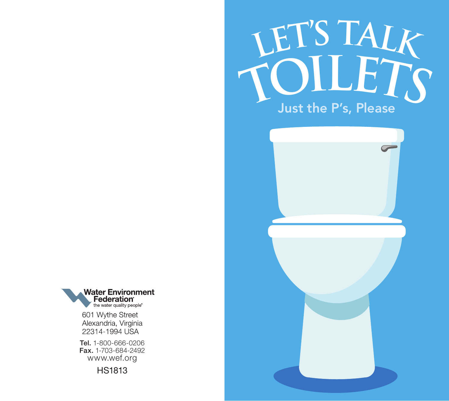





601 Wythe Street Alexandria, Virginia 22314-1994 USA

Tel. 1-800-666-0206 Fax. 1-703-684-2492 www.wef.org

HS1813